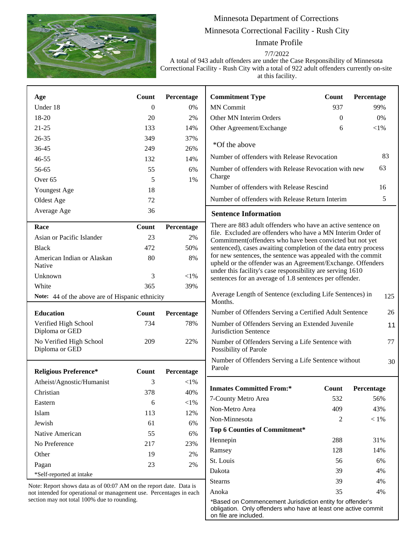

section may not total 100% due to rounding.

## Minnesota Department of Corrections Minnesota Correctional Facility - Rush City

Inmate Profile

7/7/2022

A total of 943 adult offenders are under the Case Responsibility of Minnesota Correctional Facility - Rush City with a total of 922 adult offenders currently on-site at this facility.

| Age                                                                                                                                       | <b>Count</b>     | Percentage | <b>Commitment Type</b>                                                                                                                                                                                                                                                                                                                                                                  | Count    | Percentage |
|-------------------------------------------------------------------------------------------------------------------------------------------|------------------|------------|-----------------------------------------------------------------------------------------------------------------------------------------------------------------------------------------------------------------------------------------------------------------------------------------------------------------------------------------------------------------------------------------|----------|------------|
| Under 18                                                                                                                                  | $\boldsymbol{0}$ | 0%         | <b>MN</b> Commit                                                                                                                                                                                                                                                                                                                                                                        | 937      | 99%        |
| 18-20                                                                                                                                     | 20               | 2%         | Other MN Interim Orders                                                                                                                                                                                                                                                                                                                                                                 | $\Omega$ | 0%         |
| $21 - 25$                                                                                                                                 | 133              | 14%        | Other Agreement/Exchange                                                                                                                                                                                                                                                                                                                                                                | 6        | $<$ l $%$  |
| $26 - 35$                                                                                                                                 | 349              | 37%        |                                                                                                                                                                                                                                                                                                                                                                                         |          |            |
| 36-45                                                                                                                                     | 249              | 26%        | *Of the above                                                                                                                                                                                                                                                                                                                                                                           |          |            |
| $46 - 55$                                                                                                                                 | 132              | 14%        | 83<br>Number of offenders with Release Revocation                                                                                                                                                                                                                                                                                                                                       |          |            |
| 56-65                                                                                                                                     | 55               | 6%         | 63<br>Number of offenders with Release Revocation with new                                                                                                                                                                                                                                                                                                                              |          |            |
| Over <sub>65</sub>                                                                                                                        | 5                | 1%         | Charge                                                                                                                                                                                                                                                                                                                                                                                  |          |            |
| Youngest Age                                                                                                                              | 18               |            | Number of offenders with Release Rescind<br>16                                                                                                                                                                                                                                                                                                                                          |          |            |
| Oldest Age                                                                                                                                | 72               |            | 5<br>Number of offenders with Release Return Interim                                                                                                                                                                                                                                                                                                                                    |          |            |
| Average Age                                                                                                                               | 36               |            | <b>Sentence Information</b>                                                                                                                                                                                                                                                                                                                                                             |          |            |
| Race                                                                                                                                      | Count            | Percentage | There are 883 adult offenders who have an active sentence on                                                                                                                                                                                                                                                                                                                            |          |            |
| Asian or Pacific Islander                                                                                                                 | 23               | 2%         | file. Excluded are offenders who have a MN Interim Order of<br>Commitment(offenders who have been convicted but not yet<br>sentenced), cases awaiting completion of the data entry process<br>for new sentences, the sentence was appealed with the commit<br>upheld or the offender was an Agreement/Exchange. Offenders<br>under this facility's case responsibility are serving 1610 |          |            |
| <b>Black</b>                                                                                                                              | 472              | 50%        |                                                                                                                                                                                                                                                                                                                                                                                         |          |            |
| American Indian or Alaskan<br>Native                                                                                                      | 80               | 8%         |                                                                                                                                                                                                                                                                                                                                                                                         |          |            |
| Unknown                                                                                                                                   | 3                | $<$ 1%     | sentences for an average of 1.8 sentences per offender.                                                                                                                                                                                                                                                                                                                                 |          |            |
| White                                                                                                                                     | 365              | 39%        |                                                                                                                                                                                                                                                                                                                                                                                         |          |            |
| Note: 44 of the above are of Hispanic ethnicity                                                                                           |                  |            | Average Length of Sentence (excluding Life Sentences) in<br>125<br>Months.                                                                                                                                                                                                                                                                                                              |          |            |
| <b>Education</b>                                                                                                                          | Count            | Percentage | Number of Offenders Serving a Certified Adult Sentence                                                                                                                                                                                                                                                                                                                                  |          | 26         |
| Verified High School<br>Diploma or GED                                                                                                    | 734              | 78%        | Number of Offenders Serving an Extended Juvenile<br>11<br>Jurisdiction Sentence                                                                                                                                                                                                                                                                                                         |          |            |
| No Verified High School<br>Diploma or GED                                                                                                 | 209              | 22%        | Number of Offenders Serving a Life Sentence with<br>77<br>Possibility of Parole                                                                                                                                                                                                                                                                                                         |          |            |
| <b>Religious Preference*</b>                                                                                                              | Count            | Percentage | Number of Offenders Serving a Life Sentence without<br>Parole                                                                                                                                                                                                                                                                                                                           |          | 30         |
| Atheist/Agnostic/Humanist                                                                                                                 | 3                | $<$ 1%     |                                                                                                                                                                                                                                                                                                                                                                                         |          |            |
| Christian                                                                                                                                 | 378              | 40%        | <b>Inmates Committed From:*</b>                                                                                                                                                                                                                                                                                                                                                         | Count    | Percentage |
| Eastern                                                                                                                                   | 6                | ${<}1\%$   | 7-County Metro Area                                                                                                                                                                                                                                                                                                                                                                     | 532      | 56%        |
| Islam                                                                                                                                     | 113              | 12%        | Non-Metro Area                                                                                                                                                                                                                                                                                                                                                                          | 409      | 43%        |
| Jewish                                                                                                                                    | 61               | 6%         | Non-Minnesota                                                                                                                                                                                                                                                                                                                                                                           | 2        | $<1\%$     |
| Native American                                                                                                                           | 55               | 6%         | <b>Top 6 Counties of Commitment*</b>                                                                                                                                                                                                                                                                                                                                                    |          |            |
| No Preference                                                                                                                             | 217              | 23%        | Hennepin                                                                                                                                                                                                                                                                                                                                                                                | 288      | 31%        |
| Other                                                                                                                                     | 19               | 2%         | Ramsey                                                                                                                                                                                                                                                                                                                                                                                  | 128      | 14%        |
| Pagan                                                                                                                                     | 23               | 2%         | St. Louis                                                                                                                                                                                                                                                                                                                                                                               | 56       | 6%         |
| *Self-reported at intake                                                                                                                  |                  |            | Dakota                                                                                                                                                                                                                                                                                                                                                                                  | 39       | 4%         |
|                                                                                                                                           |                  |            | <b>Stearns</b>                                                                                                                                                                                                                                                                                                                                                                          | 39       | 4%         |
| Note: Report shows data as of 00:07 AM on the report date. Data is<br>not intended for operational or management use. Percentages in each |                  |            | Anoka                                                                                                                                                                                                                                                                                                                                                                                   | 35       | 4%         |

т

\*Based on Commencement Jurisdiction entity for offender's obligation. Only offenders who have at least one active commit on file are included.